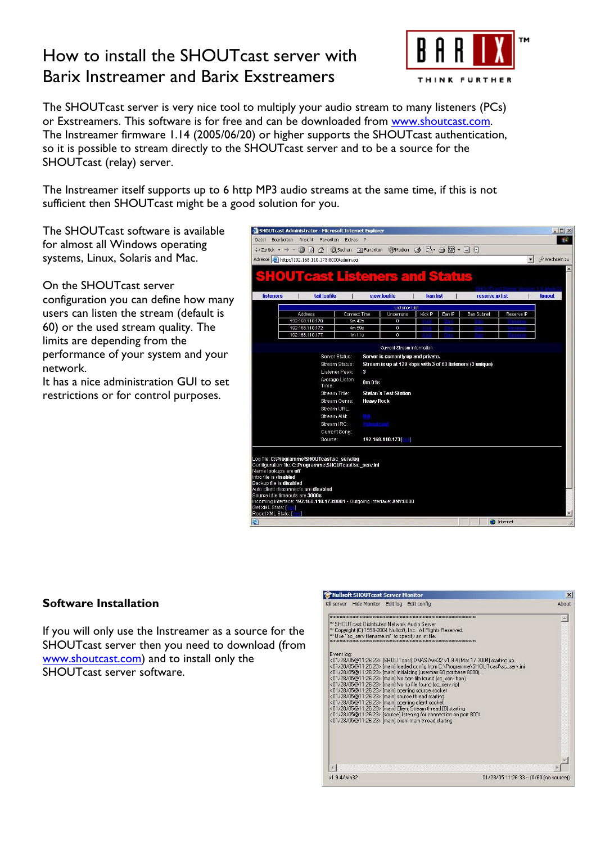# How to install the SHOUTcast server with Barix Instreamer and Barix Exstreamers



The SHOUTcast server is very nice tool to multiply your audio stream to many listeners (PCs) or Exstreamers. This software is for free and can be downloaded from www.shoutcast.com. The Instreamer firmware 1.14 (2005/06/20) or higher supports the SHOUTcast authentication, so it is possible to stream directly to the SHOUTcast server and to be a source for the SHOUTcast (relay) server.

The Instreamer itself supports up to 6 http MP3 audio streams at the same time, if this is not sufficient then SHOUTcast might be a good solution for you.

The SHOUTcast software is available for almost all Windows operating systems, Linux, Solaris and Mac.

On the SHOUTcast server

configuration you can define how many users can listen the stream (default is 60) or the used stream quality. The limits are depending from the performance of your system and your network.

It has a nice administration GUI to set restrictions or for control purposes.

| <b>SHOUTcast Listeners and Status</b> | Adresse (e) http://192.168.110.173:8000/admin.cqi |                             |                   |                                     |                 |        | (+Zurück → → - ◎ ② △   ◎ Suchen ③ Favoriten ④ Medien ③ ■ → ● 図 → ■ ■ | $\blacksquare$ | Wechseln zu |
|---------------------------------------|---------------------------------------------------|-----------------------------|-------------------|-------------------------------------|-----------------|--------|----------------------------------------------------------------------|----------------|-------------|
|                                       |                                                   |                             |                   |                                     |                 |        |                                                                      |                |             |
|                                       |                                                   |                             |                   |                                     |                 |        |                                                                      |                |             |
|                                       |                                                   |                             |                   |                                     |                 |        |                                                                      |                |             |
| <b>listeners</b>                      | tail logfile                                      |                             | view logfile      |                                     | <b>ban list</b> |        | reserve ip list                                                      |                | logout      |
|                                       |                                                   |                             |                   |                                     |                 |        |                                                                      |                |             |
|                                       |                                                   |                             |                   | <b>Listener List</b>                |                 |        |                                                                      |                |             |
|                                       | Address<br>192.168.110.178                        | Connect Time<br>$5m$ 42 $s$ |                   | Underruns<br>$\mathbf 0$            | Kick IP         | Ban IP | <b>Ban Subnet</b>                                                    | Reserve IP     |             |
|                                       | 192.168.110.172                                   | 4m 59s                      |                   | $\mathbf{0}$                        |                 |        |                                                                      |                |             |
|                                       | 192.168.110.177                                   | 1m11s                       |                   | $\Omega$                            |                 |        |                                                                      |                |             |
|                                       |                                                   |                             |                   |                                     |                 |        |                                                                      |                |             |
|                                       |                                                   |                             |                   | Current Stream Information          |                 |        |                                                                      |                |             |
|                                       |                                                   | Server Status:              |                   | Server is currently up and private. |                 |        |                                                                      |                |             |
|                                       |                                                   | Stream Status:              |                   |                                     |                 |        | Stream is up at 128 kbps with 3 of 60 listeners (3 unique)           |                |             |
|                                       |                                                   | <b>Listener Peak:</b>       | 3                 |                                     |                 |        |                                                                      |                |             |
|                                       |                                                   | Average Listen              | 0m <sub>01s</sub> |                                     |                 |        |                                                                      |                |             |
|                                       | Time:                                             |                             |                   |                                     |                 |        |                                                                      |                |             |
|                                       | Stream Title:                                     |                             |                   | <b>Stefan's Test Station</b>        |                 |        |                                                                      |                |             |
|                                       |                                                   | Stream Genre:               | <b>Heavy Rock</b> |                                     |                 |        |                                                                      |                |             |
|                                       |                                                   | Stream URL:                 |                   |                                     |                 |        |                                                                      |                |             |
|                                       | Stream AIM:                                       |                             | <b>N/A</b>        |                                     |                 |        |                                                                      |                |             |
|                                       | Stream IRC:                                       |                             | <b>#shoutcast</b> |                                     |                 |        |                                                                      |                |             |
|                                       |                                                   | <b>Current Song:</b>        |                   |                                     |                 |        |                                                                      |                |             |
|                                       | Source:                                           |                             |                   | 192.168.110.173                     |                 |        |                                                                      |                |             |

#### **Software Installation**

If you will only use the Instreamer as a source for the SHOUTcast server then you need to download (from www.shoutcast.com) and to install only the SHOUTcast server software.

|              | <b>W</b> Nullsoft SHOUTcast Server Monitor    |                                                                                                       |                                                                                  | ×     |
|--------------|-----------------------------------------------|-------------------------------------------------------------------------------------------------------|----------------------------------------------------------------------------------|-------|
|              | Kill server Hide Monitor Edit log Edit config |                                                                                                       |                                                                                  | About |
|              |                                               |                                                                                                       |                                                                                  |       |
|              |                                               | ** SHOUT cast Distributed Network Audio Server                                                        |                                                                                  |       |
|              |                                               | <sup>**</sup> Copyright (C) 1998-2004 Nullsoft, Inc. All Rights Reserved.                             |                                                                                  |       |
|              |                                               | ** Use "sc serv filename.ini" to specify an ini file.                                                 |                                                                                  |       |
|              |                                               |                                                                                                       |                                                                                  |       |
| Event log:   |                                               |                                                                                                       |                                                                                  |       |
|              |                                               |                                                                                                       | <01/28/05@11:26:23> [SHOUTcast] DNAS/win32 v1.9.4 [Mar 17 2004] starting up      |       |
|              |                                               | <01/28/05@11:26:23> [main] initializing [usermax:60 portbase:8000]                                    | <01/28/05@11:26:23> [main] loaded config from C:\Programme\SHOUTcast\sc_serv.ini |       |
|              |                                               | <01/28/05@11:26:23> [main] No ban file found [sc_serv.ban]                                            |                                                                                  |       |
|              |                                               | <01/28/05@11:26:23> [main] No rip file found [sc_serv.rip]                                            |                                                                                  |       |
|              |                                               | <01/28/05@11:26:23> [main] opening source socket                                                      |                                                                                  |       |
|              |                                               | <01/28/05@11:26:23> [main] source thread starting<br><01/28/05@11:26:23> [main] opening client socket |                                                                                  |       |
|              |                                               | <01/28/05@11:26:23> [main] Client Stream thread [0] starting                                          |                                                                                  |       |
|              |                                               | <01/28/05@11:26:23> [source] listening for connection on port 8001                                    |                                                                                  |       |
|              |                                               | <01/28/05@11:26:23> [main] client main thread starting                                                |                                                                                  |       |
|              |                                               |                                                                                                       |                                                                                  |       |
|              |                                               |                                                                                                       |                                                                                  |       |
|              |                                               |                                                                                                       |                                                                                  |       |
|              |                                               |                                                                                                       |                                                                                  |       |
|              |                                               |                                                                                                       |                                                                                  |       |
|              |                                               |                                                                                                       |                                                                                  |       |
| v1.9.4/win32 |                                               |                                                                                                       | 01/28/05 11:26:33 - (0/60 (no source))                                           |       |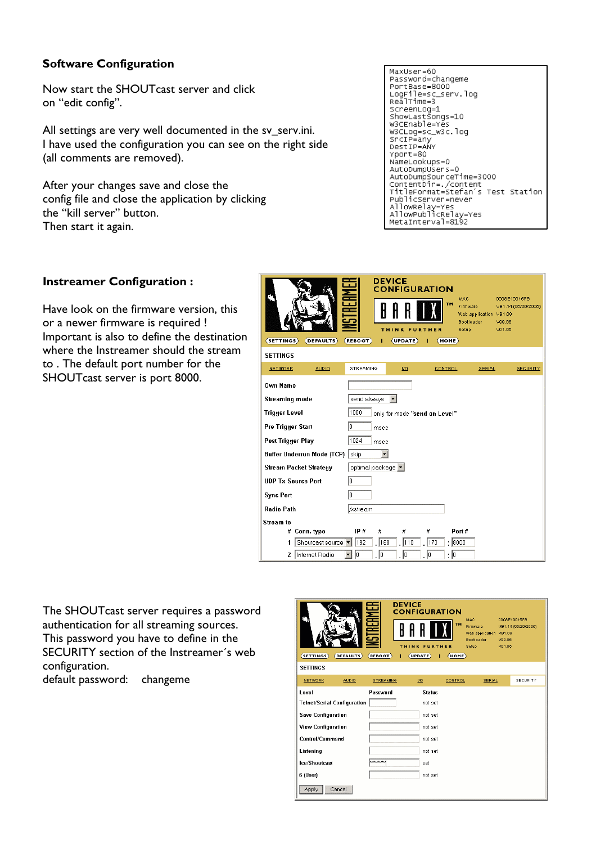## **Software Configuration**

Now start the SHOUTcast server and click on "edit config".

All settings are very well documented in the sv\_serv.ini. I have used the configuration you can see on the right side (all comments are removed).

After your changes save and close the config file and close the application by clicking the "kill server" button. Then start it again.

| MaxUser=60                        |
|-----------------------------------|
| Password=changeme                 |
| PortBase=8000                     |
| LogFile=sc_serv.log               |
| RealTime=3                        |
| ScreenLog=1                       |
| ShowLastSongs=10                  |
| W3CEnable=Yes                     |
| w3⊂Loq=sc_w3c.loq                 |
| SncIP=any                         |
| DestIP=ANY                        |
| Yport=80                          |
| NameLookups=0                     |
| AutoDumpUsers=0                   |
| AutoDumpSourceTime=3000           |
| Contentbir=./content              |
| TitleFormat=Stefan's Test Station |
| PublicServer=never                |
| AllowRelay=Yes                    |
| AllowPublicRelay=Yes              |
| Materntarus]-8102                 |

## **Instreamer Configuration :**

Have look on the firmware version, this or a newer firmware is required ! Important is also to define the destination where the Instreamer should the stream to . The default port number for the SHOUTcast server is port 8000.

| <b>DEVICE</b><br><b>CONFIGURATION</b><br>MAC<br>0008E10015FB<br><b>TM</b><br>Firmware<br>VB1.14 (06/20/2005)<br>Web application VB1.09<br><b>Bootloader</b><br>V99.06<br>Setup<br>V01.05<br>THINK FURTHER<br>(SETTINGS)<br><b>DEFAULTS</b><br><b>REBOOT</b><br>(UPDATE)<br>(HOME) |                                     |                                         |                 |               |                 |  |  |
|-----------------------------------------------------------------------------------------------------------------------------------------------------------------------------------------------------------------------------------------------------------------------------------|-------------------------------------|-----------------------------------------|-----------------|---------------|-----------------|--|--|
| <b>SETTINGS</b>                                                                                                                                                                                                                                                                   |                                     |                                         |                 |               |                 |  |  |
| <b>NETWORK</b><br><b>AUDIO</b>                                                                                                                                                                                                                                                    | STREAMING                           | 1/0                                     | CONTROL         | <b>SERIAL</b> | <b>SECURITY</b> |  |  |
| Own Name                                                                                                                                                                                                                                                                          |                                     |                                         |                 |               |                 |  |  |
| <b>Streaming mode</b>                                                                                                                                                                                                                                                             | send always                         |                                         |                 |               |                 |  |  |
| <b>Trigger Level</b>                                                                                                                                                                                                                                                              | 1000                                | only for mode "send on Level"           |                 |               |                 |  |  |
| Pre Trigger Start                                                                                                                                                                                                                                                                 | I٥<br>msec                          |                                         |                 |               |                 |  |  |
| Post Trigger Play                                                                                                                                                                                                                                                                 | 1024<br>msec                        |                                         |                 |               |                 |  |  |
| Buffer Underrun Mode (TCP) skip                                                                                                                                                                                                                                                   |                                     |                                         |                 |               |                 |  |  |
| <b>Stream Packet Strategy</b>                                                                                                                                                                                                                                                     | optimal package v                   |                                         |                 |               |                 |  |  |
| <b>UDP Tx Source Port</b>                                                                                                                                                                                                                                                         | lo                                  |                                         |                 |               |                 |  |  |
| <b>Sync Port</b>                                                                                                                                                                                                                                                                  | lo                                  |                                         |                 |               |                 |  |  |
| <b>Radio Path</b>                                                                                                                                                                                                                                                                 | /xstream                            |                                         |                 |               |                 |  |  |
| Stream to<br>Conn. type<br>#<br>Shoutcast source   v <br>1<br>Internet Radio<br>2                                                                                                                                                                                                 | IP #<br>#<br>192<br>168<br>10<br>Iо | #<br>#<br>. 110<br>. 173<br>0 .<br>. 10 | : 18000<br>:  0 | Port#         |                 |  |  |

The SHOUTcast server requires a password authentication for all streaming sources. This password you have to define in the SECURITY section of the Instreamer´s web configuration. default password: changeme

|                                    |                  | <b>DEVICE</b><br><b>CONFIGURATION</b> |         |                                                                          |                                                         |  |
|------------------------------------|------------------|---------------------------------------|---------|--------------------------------------------------------------------------|---------------------------------------------------------|--|
|                                    | <b>ISTREAMER</b> | THINK FURTHER                         | TM      | MAC.<br>Firmware<br>Web application VB1.09<br><b>Bootloader</b><br>Setup | 0008E10015FB<br>VB1.14 (06/20/2005)<br>V99.06<br>V01.05 |  |
| <b>SETTINGS</b><br><b>DEFAULTS</b> | (REBOOT)         | (UPDATE)                              | (HOME)  |                                                                          |                                                         |  |
| <b>SETTINGS</b>                    |                  |                                       |         |                                                                          |                                                         |  |
| NETWORK<br><b>AUDIO</b>            | <b>STREAMING</b> | I/O                                   | CONTROL | SERIAL                                                                   | SECURITY                                                |  |
| Level                              | Password         | <b>Status</b>                         |         |                                                                          |                                                         |  |
| Telnet/Serial Configuration        |                  | not set                               |         |                                                                          |                                                         |  |
| <b>Save Configuration</b>          |                  | not set                               |         |                                                                          |                                                         |  |
| <b>View Configuration</b>          |                  | not set                               |         |                                                                          |                                                         |  |
| Control/Command                    |                  | not set                               |         |                                                                          |                                                         |  |
| Listening                          |                  | not set                               |         |                                                                          |                                                         |  |
| Ice/Shoutcast                      | wwwww            | set                                   |         |                                                                          |                                                         |  |
| 6 (User)                           |                  | not set                               |         |                                                                          |                                                         |  |
| Cancel<br>Apply                    |                  |                                       |         |                                                                          |                                                         |  |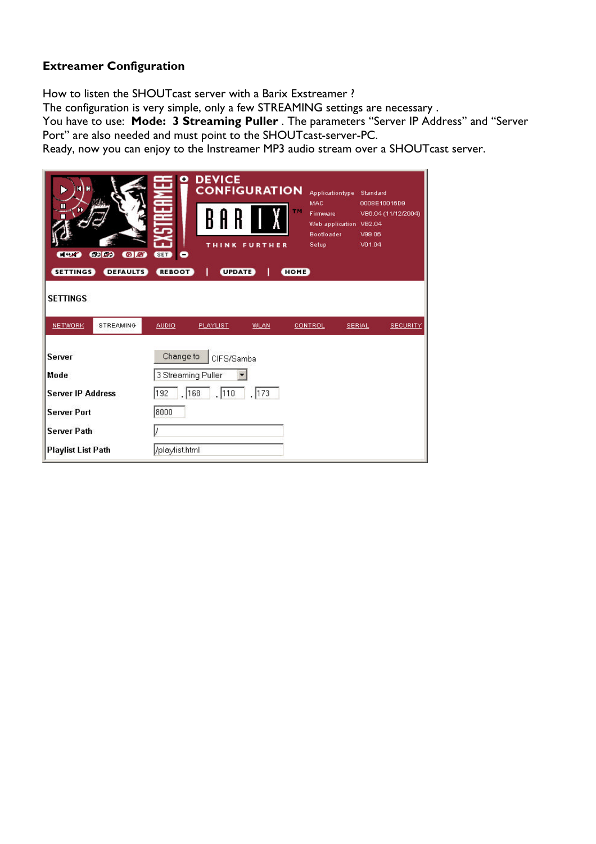### **Extreamer Configuration**

How to listen the SHOUTcast server with a Barix Exstreamer ?

The configuration is very simple, only a few STREAMING settings are necessary .

You have to use: **Mode: 3 Streaming Puller** . The parameters "Server IP Address" and "Server Port" are also needed and must point to the SHOUTcast-server-PC.

Ready, now you can enjoy to the Instreamer MP3 audio stream over a SHOUTcast server.

| N N<br>ш<br>́₩<br><b>CELL</b><br>@ 153<br>@G<br><b>DEFAULTS</b><br><b>SETTINGS</b><br><b>SETTINGS</b>                      | D<br><b>SED</b><br>0<br>REBOOT                                            | <b>DEVICE</b><br>B A R<br><b>UPDATE</b> | <b>CONFIGURATION</b><br>THINK FURTHER | Applicationtype Standard<br>MAC<br>TM.<br>Firmware<br>Web application VB2.04<br><b>Bootloader</b><br>Setup<br><b>HOME</b> | 0008E10016D9<br>V99.06<br>V01.04 | VB6.04 (11/12/2004) |
|----------------------------------------------------------------------------------------------------------------------------|---------------------------------------------------------------------------|-----------------------------------------|---------------------------------------|---------------------------------------------------------------------------------------------------------------------------|----------------------------------|---------------------|
| <b>STREAMING</b><br><b>NETWORK</b>                                                                                         | <b>AUDIO</b>                                                              | <b>PLAYLIST</b>                         | <b>WLAN</b>                           | <b>CONTROL</b>                                                                                                            | <b>SERIAL</b>                    | <b>SECURITY</b>     |
| <b>Server</b><br>Mode<br><b>Server IP Address</b><br><b>Server Port</b><br><b>Server Path</b><br><b>Playlist List Path</b> | Change to<br>3 Streaming Puller<br>. 168<br>192<br>8000<br>/playlist.html | CIFS/Samba<br>$ 110\rangle$             | 173                                   |                                                                                                                           |                                  |                     |